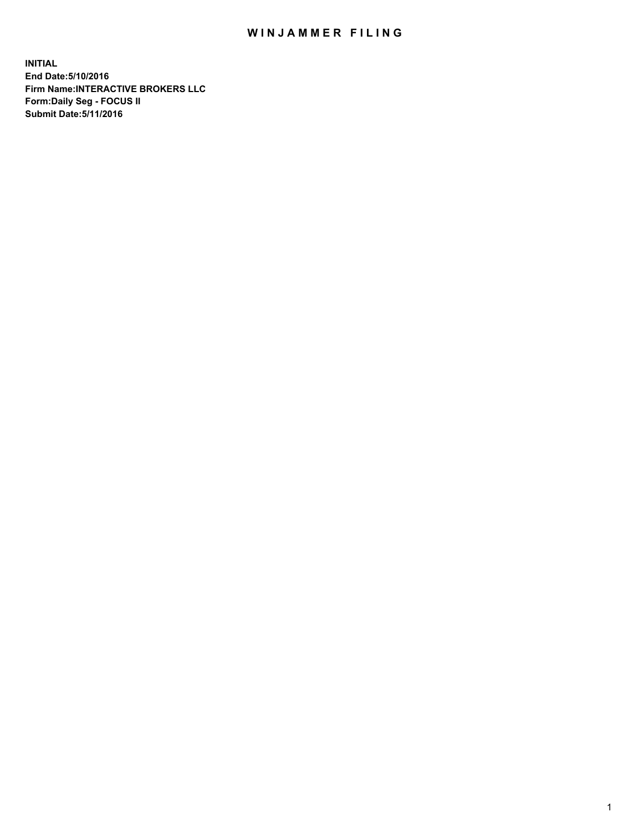## WIN JAMMER FILING

**INITIAL End Date:5/10/2016 Firm Name:INTERACTIVE BROKERS LLC Form:Daily Seg - FOCUS II Submit Date:5/11/2016**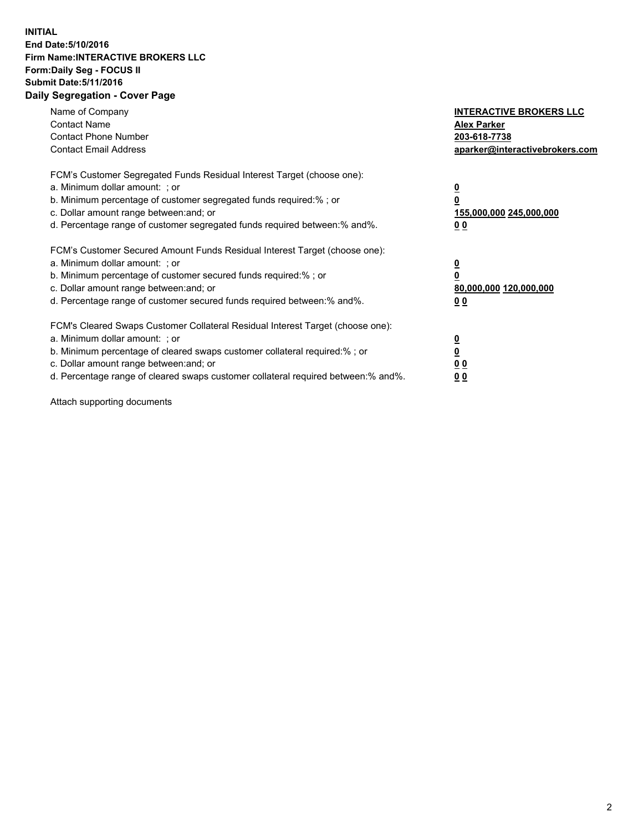## **INITIAL End Date:5/10/2016 Firm Name:INTERACTIVE BROKERS LLC Form:Daily Seg - FOCUS II Submit Date:5/11/2016 Daily Segregation - Cover Page**

| Name of Company<br><b>Contact Name</b><br><b>Contact Phone Number</b><br><b>Contact Email Address</b>                                                                                                                                                                                                                          | <b>INTERACTIVE BROKERS LLC</b><br><b>Alex Parker</b><br>203-618-7738<br>aparker@interactivebrokers.com |
|--------------------------------------------------------------------------------------------------------------------------------------------------------------------------------------------------------------------------------------------------------------------------------------------------------------------------------|--------------------------------------------------------------------------------------------------------|
| FCM's Customer Segregated Funds Residual Interest Target (choose one):<br>a. Minimum dollar amount: ; or<br>b. Minimum percentage of customer segregated funds required:%; or<br>c. Dollar amount range between: and; or<br>d. Percentage range of customer segregated funds required between:% and%.                          | <u>0</u><br>155,000,000 245,000,000<br><u>00</u>                                                       |
| FCM's Customer Secured Amount Funds Residual Interest Target (choose one):<br>a. Minimum dollar amount: ; or<br>b. Minimum percentage of customer secured funds required:%; or<br>c. Dollar amount range between: and; or<br>d. Percentage range of customer secured funds required between:% and%.                            | <u>0</u><br>80,000,000 120,000,000<br><u>00</u>                                                        |
| FCM's Cleared Swaps Customer Collateral Residual Interest Target (choose one):<br>a. Minimum dollar amount: ; or<br>b. Minimum percentage of cleared swaps customer collateral required:% ; or<br>c. Dollar amount range between: and; or<br>d. Percentage range of cleared swaps customer collateral required between:% and%. | <u>0</u><br>0 <sub>0</sub><br>0 <sub>0</sub>                                                           |

Attach supporting documents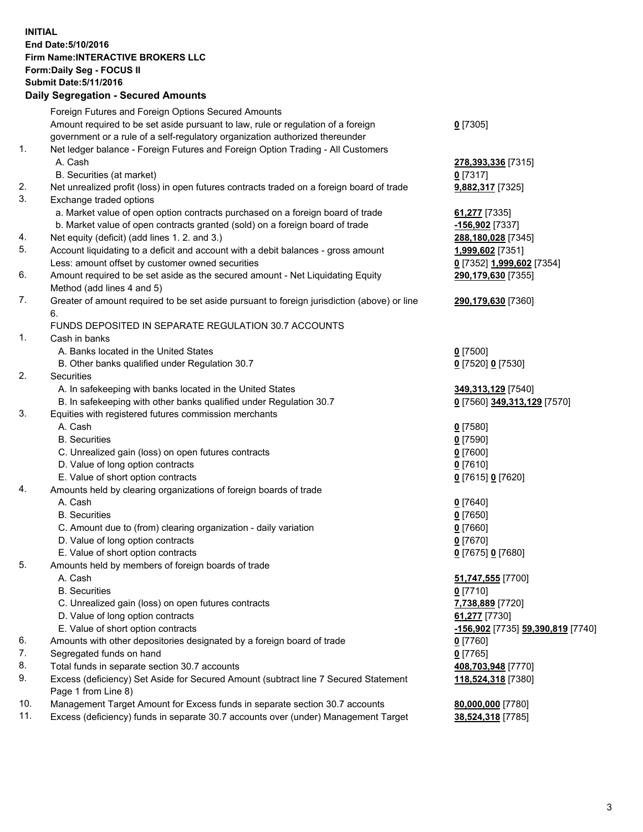## **INITIAL End Date:5/10/2016 Firm Name:INTERACTIVE BROKERS LLC Form:Daily Seg - FOCUS II Submit Date:5/11/2016 Daily Segregation - Secured Amounts**

| Foreign Futures and Foreign Options Secured Amounts                                         |                                                                                                                                                                        |
|---------------------------------------------------------------------------------------------|------------------------------------------------------------------------------------------------------------------------------------------------------------------------|
|                                                                                             |                                                                                                                                                                        |
|                                                                                             | $0$ [7305]                                                                                                                                                             |
| government or a rule of a self-regulatory organization authorized thereunder                |                                                                                                                                                                        |
| Net ledger balance - Foreign Futures and Foreign Option Trading - All Customers             |                                                                                                                                                                        |
| A. Cash                                                                                     | 278,393,336 [7315]                                                                                                                                                     |
| B. Securities (at market)                                                                   | $0$ [7317]                                                                                                                                                             |
| Net unrealized profit (loss) in open futures contracts traded on a foreign board of trade   | 9,882,317 [7325]                                                                                                                                                       |
| Exchange traded options                                                                     |                                                                                                                                                                        |
| a. Market value of open option contracts purchased on a foreign board of trade              | 61,277 [7335]                                                                                                                                                          |
| b. Market value of open contracts granted (sold) on a foreign board of trade                | -156,902 <sup>[7337]</sup>                                                                                                                                             |
| Net equity (deficit) (add lines 1.2. and 3.)                                                | 288,180,028 [7345]                                                                                                                                                     |
| Account liquidating to a deficit and account with a debit balances - gross amount           | <u>1,999,602</u> [7351]                                                                                                                                                |
| Less: amount offset by customer owned securities                                            | 0 [7352] 1,999,602 [7354]                                                                                                                                              |
| Amount required to be set aside as the secured amount - Net Liquidating Equity              | 290,179,630 [7355]                                                                                                                                                     |
| Method (add lines 4 and 5)                                                                  |                                                                                                                                                                        |
| Greater of amount required to be set aside pursuant to foreign jurisdiction (above) or line | 290,179,630 [7360]                                                                                                                                                     |
| 6.                                                                                          |                                                                                                                                                                        |
| FUNDS DEPOSITED IN SEPARATE REGULATION 30.7 ACCOUNTS                                        |                                                                                                                                                                        |
| Cash in banks                                                                               |                                                                                                                                                                        |
| A. Banks located in the United States                                                       | $0$ [7500]                                                                                                                                                             |
| B. Other banks qualified under Regulation 30.7                                              | 0 [7520] 0 [7530]                                                                                                                                                      |
| Securities                                                                                  |                                                                                                                                                                        |
| A. In safekeeping with banks located in the United States                                   | 349, 313, 129 [7540]                                                                                                                                                   |
| B. In safekeeping with other banks qualified under Regulation 30.7                          | 0 [7560] 349,313,129 [7570]                                                                                                                                            |
| Equities with registered futures commission merchants                                       |                                                                                                                                                                        |
| A. Cash                                                                                     | $0$ [7580]                                                                                                                                                             |
| <b>B.</b> Securities                                                                        | $0$ [7590]                                                                                                                                                             |
| C. Unrealized gain (loss) on open futures contracts                                         | $0$ [7600]                                                                                                                                                             |
| D. Value of long option contracts                                                           | $0$ [7610]                                                                                                                                                             |
| E. Value of short option contracts                                                          | 0 [7615] 0 [7620]                                                                                                                                                      |
| Amounts held by clearing organizations of foreign boards of trade                           |                                                                                                                                                                        |
| A. Cash                                                                                     | $0$ [7640]                                                                                                                                                             |
| <b>B.</b> Securities                                                                        | $0$ [7650]                                                                                                                                                             |
| C. Amount due to (from) clearing organization - daily variation                             | $0$ [7660]                                                                                                                                                             |
| D. Value of long option contracts                                                           | $0$ [7670]                                                                                                                                                             |
| E. Value of short option contracts                                                          | 0 [7675] 0 [7680]                                                                                                                                                      |
| Amounts held by members of foreign boards of trade                                          |                                                                                                                                                                        |
| A. Cash                                                                                     | 51,747,555 [7700]                                                                                                                                                      |
| <b>B.</b> Securities                                                                        | $0$ [7710]                                                                                                                                                             |
| C. Unrealized gain (loss) on open futures contracts                                         | 7,738,889 [7720]                                                                                                                                                       |
| D. Value of long option contracts                                                           | 61,277 [7730]                                                                                                                                                          |
| E. Value of short option contracts                                                          | -156,902 [7735] 59,390,819 [7740]                                                                                                                                      |
| Amounts with other depositories designated by a foreign board of trade                      | 0 [7760]                                                                                                                                                               |
| Segregated funds on hand                                                                    | $0$ [7765]                                                                                                                                                             |
| Total funds in separate section 30.7 accounts                                               | 408,703,948 [7770]                                                                                                                                                     |
| Excess (deficiency) Set Aside for Secured Amount (subtract line 7 Secured Statement         | 118,524,318 [7380]                                                                                                                                                     |
| Page 1 from Line 8)                                                                         |                                                                                                                                                                        |
| Management Target Amount for Excess funds in separate section 30.7 accounts                 | 80,000,000 [7780]                                                                                                                                                      |
|                                                                                             | 38,524,318 [7785]                                                                                                                                                      |
|                                                                                             | Amount required to be set aside pursuant to law, rule or regulation of a foreign<br>Excess (deficiency) funds in separate 30.7 accounts over (under) Management Target |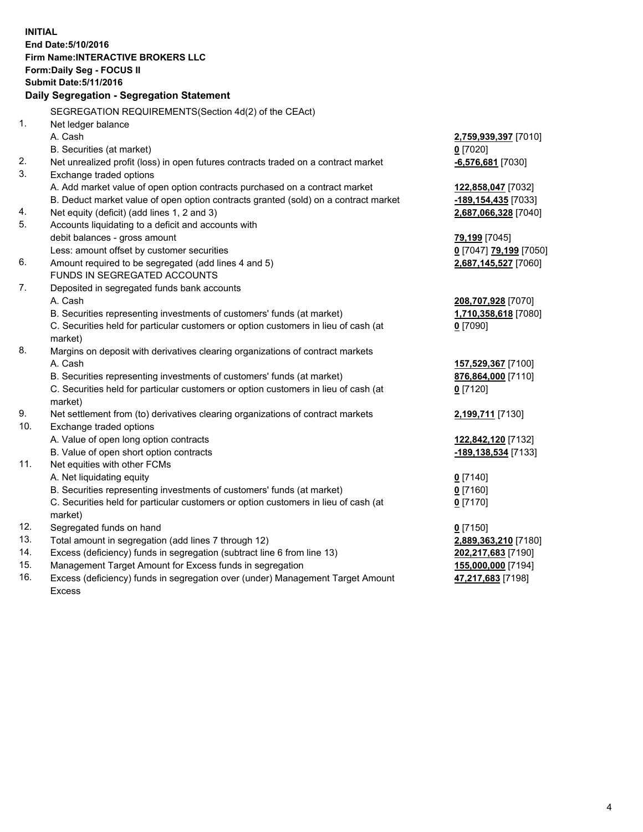**INITIAL End Date:5/10/2016 Firm Name:INTERACTIVE BROKERS LLC Form:Daily Seg - FOCUS II Submit Date:5/11/2016 Daily Segregation - Segregation Statement** SEGREGATION REQUIREMENTS(Section 4d(2) of the CEAct) 1. Net ledger balance A. Cash **2,759,939,397** [7010] B. Securities (at market) **0** [7020] 2. Net unrealized profit (loss) in open futures contracts traded on a contract market **-6,576,681** [7030] 3. Exchange traded options A. Add market value of open option contracts purchased on a contract market **122,858,047** [7032] B. Deduct market value of open option contracts granted (sold) on a contract market **-189,154,435** [7033] 4. Net equity (deficit) (add lines 1, 2 and 3) **2,687,066,328** [7040] 5. Accounts liquidating to a deficit and accounts with debit balances - gross amount **79,199** [7045] Less: amount offset by customer securities **0** [7047] **79,199** [7050] 6. Amount required to be segregated (add lines 4 and 5) **2,687,145,527** [7060] FUNDS IN SEGREGATED ACCOUNTS 7. Deposited in segregated funds bank accounts A. Cash **208,707,928** [7070] B. Securities representing investments of customers' funds (at market) **1,710,358,618** [7080] C. Securities held for particular customers or option customers in lieu of cash (at market) **0** [7090] 8. Margins on deposit with derivatives clearing organizations of contract markets A. Cash **157,529,367** [7100] B. Securities representing investments of customers' funds (at market) **876,864,000** [7110] C. Securities held for particular customers or option customers in lieu of cash (at market) **0** [7120] 9. Net settlement from (to) derivatives clearing organizations of contract markets **2,199,711** [7130] 10. Exchange traded options A. Value of open long option contracts **122,842,120** [7132] B. Value of open short option contracts **-189,138,534** [7133] 11. Net equities with other FCMs A. Net liquidating equity **0** [7140] B. Securities representing investments of customers' funds (at market) **0** [7160] C. Securities held for particular customers or option customers in lieu of cash (at market) **0** [7170] 12. Segregated funds on hand **0** [7150] 13. Total amount in segregation (add lines 7 through 12) **2,889,363,210** [7180] 14. Excess (deficiency) funds in segregation (subtract line 6 from line 13) **202,217,683** [7190] 15. Management Target Amount for Excess funds in segregation **155,000,000** [7194] 16. Excess (deficiency) funds in segregation over (under) Management Target Amount **47,217,683** [7198]

Excess